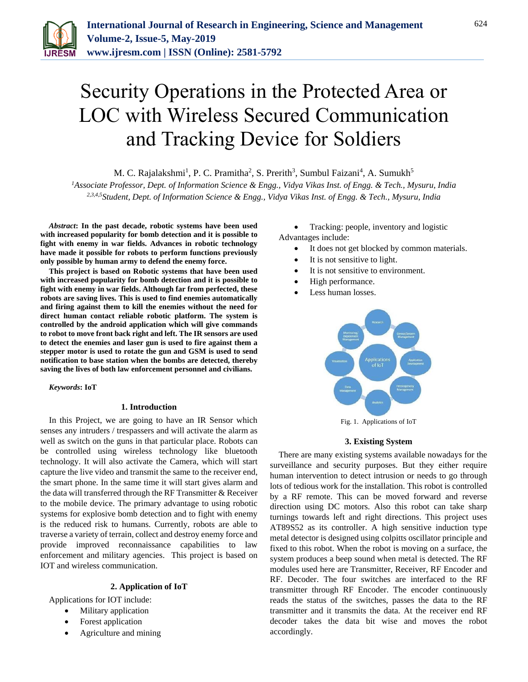

# Security Operations in the Protected Area or LOC with Wireless Secured Communication and Tracking Device for Soldiers

M. C. Rajalakshmi<sup>1</sup>, P. C. Pramitha<sup>2</sup>, S. Prerith<sup>3</sup>, Sumbul Faizani<sup>4</sup>, A. Sumukh<sup>5</sup>

*<sup>1</sup>Associate Professor, Dept. of Information Science & Engg., Vidya Vikas Inst. of Engg. & Tech., Mysuru, India 2,3,4,5Student, Dept. of Information Science & Engg., Vidya Vikas Inst. of Engg. & Tech., Mysuru, India*

*Abstract***: In the past decade, robotic systems have been used with increased popularity for bomb detection and it is possible to fight with enemy in war fields. Advances in robotic technology have made it possible for robots to perform functions previously only possible by human army to defend the enemy force.**

**This project is based on Robotic systems that have been used with increased popularity for bomb detection and it is possible to fight with enemy in war fields. Although far from perfected, these robots are saving lives. This is used to find enemies automatically and firing against them to kill the enemies without the need for direct human contact reliable robotic platform. The system is controlled by the android application which will give commands to robot to move front back right and left. The IR sensors are used to detect the enemies and laser gun is used to fire against them a stepper motor is used to rotate the gun and GSM is used to send notification to base station when the bombs are detected, thereby saving the lives of both law enforcement personnel and civilians.**

*Keywords***: IoT**

#### **1. Introduction**

In this Project, we are going to have an IR Sensor which senses any intruders / trespassers and will activate the alarm as well as switch on the guns in that particular place. Robots can be controlled using wireless technology like bluetooth technology. It will also activate the Camera, which will start capture the live video and transmit the same to the receiver end, the smart phone. In the same time it will start gives alarm and the data will transferred through the RF Transmitter & Receiver to the mobile device. The primary advantage to using robotic systems for explosive bomb detection and to fight with enemy is the reduced risk to humans. Currently, robots are able to traverse a variety of terrain, collect and destroy enemy force and provide improved reconnaissance capabilities to law enforcement and military agencies. This project is based on IOT and wireless communication.

### **2. Application of IoT**

Applications for IOT include:

- Military application
- Forest application
- Agriculture and mining

 Tracking: people, inventory and logistic Advantages include:

- It does not get blocked by common materials.
- It is not sensitive to light.
- It is not sensitive to environment.
- High performance.
- Less human losses.



Fig. 1. Applications of IoT

#### **3. Existing System**

There are many existing systems available nowadays for the surveillance and security purposes. But they either require human intervention to detect intrusion or needs to go through lots of tedious work for the installation. This robot is controlled by a RF remote. This can be moved forward and reverse direction using DC motors. Also this robot can take sharp turnings towards left and right directions. This project uses AT89S52 as its controller. A high sensitive induction type metal detector is designed using colpitts oscillator principle and fixed to this robot. When the robot is moving on a surface, the system produces a beep sound when metal is detected. The RF modules used here are Transmitter, Receiver, RF Encoder and RF. Decoder. The four switches are interfaced to the RF transmitter through RF Encoder. The encoder continuously reads the status of the switches, passes the data to the RF transmitter and it transmits the data. At the receiver end RF decoder takes the data bit wise and moves the robot accordingly.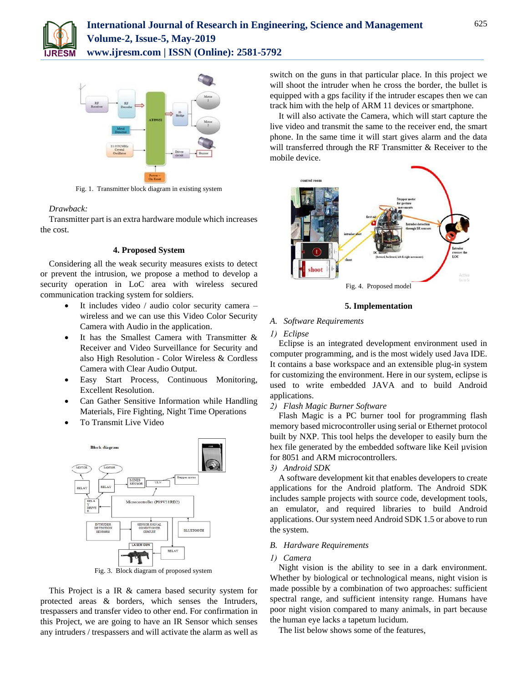



Fig. 1. Transmitter block diagram in existing system

#### *Drawback:*

Transmitter part is an extra hardware module which increases the cost.

#### **4. Proposed System**

Considering all the weak security measures exists to detect or prevent the intrusion, we propose a method to develop a security operation in LoC area with wireless secured communication tracking system for soldiers.

- It includes video / audio color security camera wireless and we can use this Video Color Security Camera with Audio in the application.
- It has the Smallest Camera with Transmitter & Receiver and Video Surveillance for Security and also High Resolution - Color Wireless & Cordless Camera with Clear Audio Output.
- Easy Start Process, Continuous Monitoring, Excellent Resolution.
- Can Gather Sensitive Information while Handling Materials, Fire Fighting, Night Time Operations
- To Transmit Live Video



Fig. 3. Block diagram of proposed system

This Project is a IR & camera based security system for protected areas & borders, which senses the Intruders, trespassers and transfer video to other end. For confirmation in this Project, we are going to have an IR Sensor which senses any intruders / trespassers and will activate the alarm as well as

switch on the guns in that particular place. In this project we will shoot the intruder when he cross the border, the bullet is equipped with a gps facility if the intruder escapes then we can track him with the help of ARM 11 devices or smartphone.

It will also activate the Camera, which will start capture the live video and transmit the same to the receiver end, the smart phone. In the same time it will start gives alarm and the data will transferred through the RF Transmitter & Receiver to the mobile device.



#### **5. Implementation**

## *A. Software Requirements*

#### *1) Eclipse*

Eclipse is an integrated development environment used in computer programming, and is the most widely used Java IDE. It contains a base workspace and an extensible plug-in system for customizing the environment. Here in our system, eclipse is used to write embedded JAVA and to build Android applications.

#### *2) Flash Magic Burner Software*

Flash Magic is a PC burner tool for programming flash memory based microcontroller using serial or Ethernet protocol built by NXP. This tool helps the developer to easily burn the hex file generated by the embedded software like Keil µvision for 8051 and ARM microcontrollers.

# *3) Android SDK*

A software development kit that enables developers to create applications for the Android platform. The Android SDK includes sample projects with source code, development tools, an emulator, and required libraries to build Android applications. Our system need Android SDK 1.5 or above to run the system.

## *B. Hardware Requirements*

#### *1) Camera*

Night vision is the ability to see in a dark environment. Whether by biological or technological means, night vision is made possible by a combination of two approaches: sufficient spectral range, and sufficient intensity range. Humans have poor night vision compared to many animals, in part because the human eye lacks a tapetum lucidum.

The list below shows some of the features,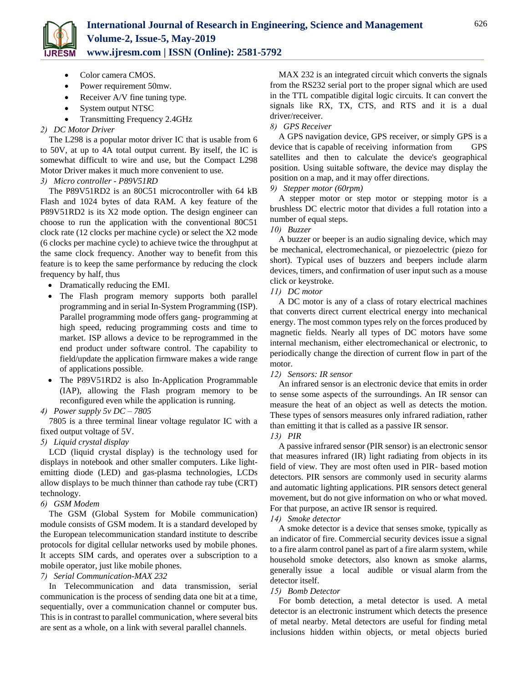

- Color camera CMOS.
- Power requirement 50mw.
- Receiver A/V fine tuning type.
- System output NTSC
- Transmitting Frequency 2.4GHz

# *2) DC Motor Driver*

The L298 is a popular motor driver IC that is usable from 6 to 50V, at up to 4A total output current. By itself, the IC is somewhat difficult to wire and use, but the Compact L298 Motor Driver makes it much more convenient to use.

# *3) Micro controller - P89V51RD*

The P89V51RD2 is an 80C51 microcontroller with 64 kB Flash and 1024 bytes of data RAM. A key feature of the P89V51RD2 is its X2 mode option. The design engineer can choose to run the application with the conventional 80C51 clock rate (12 clocks per machine cycle) or select the X2 mode (6 clocks per machine cycle) to achieve twice the throughput at the same clock frequency. Another way to benefit from this feature is to keep the same performance by reducing the clock frequency by half, thus

- Dramatically reducing the EMI.
- The Flash program memory supports both parallel programming and in serial In-System Programming (ISP). Parallel programming mode offers gang- programming at high speed, reducing programming costs and time to market. ISP allows a device to be reprogrammed in the end product under software control. The capability to field/update the application firmware makes a wide range of applications possible.
- The P89V51RD2 is also In-Application Programmable (IAP), allowing the Flash program memory to be reconfigured even while the application is running.
- *4) Power supply 5v DC – 7805*

7805 is a three terminal linear voltage regulator IC with a fixed output voltage of 5V.

# *5) Liquid crystal display*

LCD (liquid crystal display) is the technology used for displays in notebook and other smaller computers. Like lightemitting diode (LED) and gas-plasma technologies, LCDs allow displays to be much thinner than cathode ray tube (CRT) technology.

*6) GSM Modem*

The GSM (Global System for Mobile communication) module consists of GSM modem. It is a standard developed by the European telecommunication standard institute to describe protocols for digital cellular networks used by mobile phones. It accepts SIM cards, and operates over a subscription to a mobile operator, just like mobile phones.

## *7) Serial Communication-MAX 232*

In Telecommunication and data transmission, serial communication is the process of sending data one bit at a time, sequentially, over a communication channel or computer bus. This is in contrast to parallel communication, where several bits are sent as a whole, on a link with several parallel channels.

MAX 232 is an integrated circuit which converts the signals from the RS232 serial port to the proper signal which are used in the TTL compatible digital logic circuits. It can convert the signals like RX, TX, CTS, and RTS and it is a dual driver/receiver.

# *8) GPS Receiver*

A GPS navigation device, GPS receiver, or simply GPS is a device that is capable of receiving information from GPS satellites and then to calculate the device's geographical position. Using suitable software, the device may display the position on a map, and it may offer directions.

*9) Stepper motor (60rpm)*

A stepper motor or step motor or stepping motor is a brushless DC electric motor that divides a full rotation into a number of equal steps.

#### *10) Buzzer*

A buzzer or beeper is an audio signaling device, which may be mechanical, electromechanical, or piezoelectric (piezo for short). Typical uses of buzzers and beepers include alarm devices, timers, and confirmation of user input such as a mouse click or keystroke.

## *11) DC motor*

A DC motor is any of a class of rotary electrical machines that converts direct current electrical energy into mechanical energy. The most common types rely on the forces produced by magnetic fields. Nearly all types of DC motors have some internal mechanism, either electromechanical or electronic, to periodically change the direction of current flow in part of the motor.

## *12) Sensors: IR sensor*

An infrared sensor is an electronic device that emits in order to sense some aspects of the surroundings. An IR sensor can measure the heat of an object as well as detects the motion. These types of sensors measures only infrared radiation, rather than emitting it that is called as a passive IR sensor. *13) PIR*

A passive infrared sensor (PIR sensor) is an electronic sensor that measures infrared (IR) light radiating from objects in its field of view. They are most often used in PIR- based motion detectors. PIR sensors are commonly used in security alarms and automatic lighting applications. PIR sensors detect general movement, but do not give information on who or what moved. For that purpose, an active IR sensor is required.

## *14) Smoke detector*

A smoke detector is a device that senses smoke, typically as an indicator of fire. Commercial security devices issue a signal to a fire alarm control panel as part of a fire alarm system, while household smoke detectors, also known as smoke alarms, generally issue a local audible or visual alarm from the detector itself.

## *15) Bomb Detector*

For bomb detection, a metal detector is used. A metal detector is an electronic instrument which detects the presence of metal nearby. Metal detectors are useful for finding metal inclusions hidden within objects, or metal objects buried